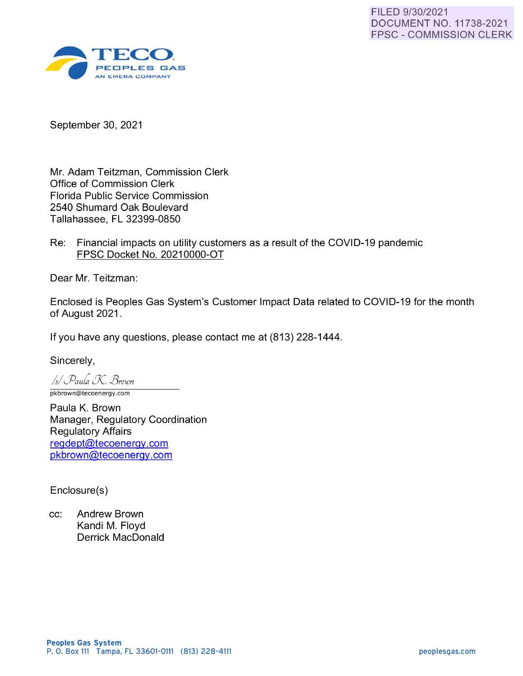

September 30, 2021

Mr. Adam Teitzman, Commission Clerk Office of Commission Clerk Florida Public Service Commission 2540 Shumard Oak Boulevard Tallahassee, FL 32399-0850

Re: Financial impacts on utility customers as a result of the COVID-19 pandemic FPSC Docket No. 20210000-0T

Dear Mr. Teitzman:

Enclosed is Peoples Gas System's Customer Impact Data related to COVID-19 for the month of August 2021.

If you have any questions, please contact me at (813) 228-1444.

Sincerely,

/4/ *(j)auh. [}( B rown*  pkbrown@tecoenergy.com

Paula K. Brown Manager, Regulatory Coordination Regulatory Affairs reqdept@tecoenerqy.com pkbrown@tecoenerqy.com

Enclosure(s)

cc: Andrew Brown Kandi M. Floyd Derrick MacDonald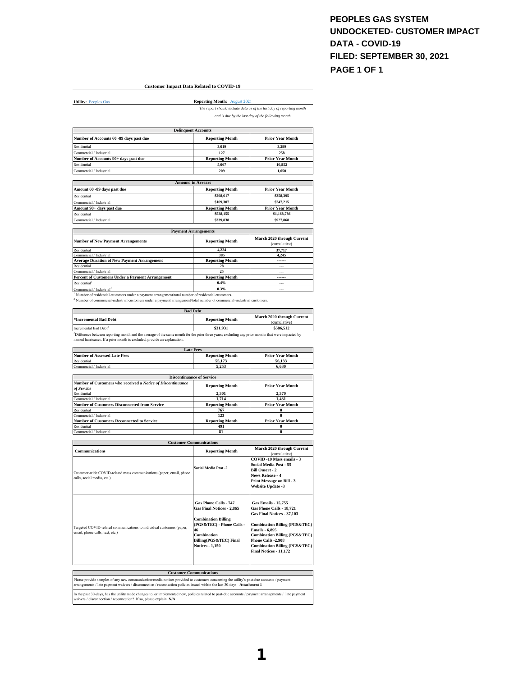#### **PEOPLES GAS SYSTEM UNDOCKETED- CUSTOMER IMPACT DATA - COVID-19 FILED: SEPTEMBER 30, 2021 PAGE 1 OF 1**

#### **Customer Impact Data Related to COVID-19**

**Utility: Peoples Gas** 

**Reporting Month:** August 2021 *The report should include data as of the last day of reporting month* 

*and is due by the last day of the following month*

|                                                                                                    | <b>Delinquent Accounts</b>  |                                            |
|----------------------------------------------------------------------------------------------------|-----------------------------|--------------------------------------------|
| Number of Accounts 60 -89 days past due                                                            | <b>Reporting Month</b>      | <b>Prior Year Month</b>                    |
| Residential                                                                                        | 3.019                       | 3.299                                      |
| Commercial / Industrial                                                                            | 127                         | 258                                        |
| Number of Accounts 90+ days past due                                                               | <b>Reporting Month</b>      | <b>Prior Year Month</b>                    |
| Residential                                                                                        | 5,067                       | 10,852                                     |
| Commercial / Industrial                                                                            | 209                         | 1.050                                      |
|                                                                                                    | <b>Amount in Arrears</b>    |                                            |
| Amount 60 -89 days past due                                                                        | <b>Reporting Month</b>      | <b>Prior Year Month</b>                    |
| Residential                                                                                        | \$298,617                   | \$358.395                                  |
| Commercial / Industrial                                                                            | \$109,307                   | \$247,215                                  |
| Amount 90+ days past due                                                                           | <b>Reporting Month</b>      | <b>Prior Year Month</b>                    |
| Residential                                                                                        | \$528,155                   | \$1,168,786                                |
| Commercial / Industrial                                                                            | \$339,838                   | \$927,868                                  |
|                                                                                                    | <b>Payment Arrangements</b> |                                            |
| <b>Number of New Payment Arrangements</b>                                                          | <b>Reporting Month</b>      | March 2020 through Current<br>(cumulative) |
| Residential                                                                                        | 4.224                       | 37,717                                     |
| Commercial / Industrial                                                                            | 385                         | 4.245                                      |
| <b>Average Duration of New Payment Arrangement</b>                                                 | <b>Reporting Month</b>      | ------                                     |
| Residential                                                                                        | 28                          | ---                                        |
| Commercial / Industrial                                                                            | 25                          | $\overline{a}$                             |
| Percent of Customers Under a Payment Arrangement                                                   | <b>Reporting Month</b>      | ------                                     |
| Residential <sup>1</sup>                                                                           | 0.4%                        | ---                                        |
| Commercial / Industrial <sup>2</sup>                                                               | 0.3%                        | ---                                        |
| Number of residential customers under a payment arrangement/total number of residential customers. |                             |                                            |

' Number of residential customers under a payment arrangement/total number of residential customers.<br><sup>2</sup> Number of commercial-industrial customers under a payment arrangement/total number of commercial-industrial customers

| <b>Bad Debt</b>                                                                                                                                               |                        |                                            |  |  |
|---------------------------------------------------------------------------------------------------------------------------------------------------------------|------------------------|--------------------------------------------|--|--|
| *Incremental Bad Debt                                                                                                                                         | <b>Reporting Month</b> | March 2020 through Current<br>(cumulative) |  |  |
| Incremental Bad Debt <sup>3</sup>                                                                                                                             | \$31.931               | \$586,512                                  |  |  |
| <sup>3</sup> Difference between reporting month and the average of the same month for the prior three years; excluding any prior months that were impacted by |                        |                                            |  |  |
| named hurricanes. If a prior month is excluded, provide an explanation.                                                                                       |                        |                                            |  |  |

| <b>Late Fees</b>                                                          |                        |                                            |  |  |
|---------------------------------------------------------------------------|------------------------|--------------------------------------------|--|--|
| <b>Number of Assessed Late Fees</b>                                       | <b>Reporting Month</b> | <b>Prior Year Month</b>                    |  |  |
| Residential                                                               | 55.173                 | 56,133                                     |  |  |
| Commercial / Industrial                                                   | 5.253                  | 6.630                                      |  |  |
|                                                                           |                        |                                            |  |  |
| <b>Discontinuance of Service</b>                                          |                        |                                            |  |  |
| Number of Customers who received a Notice of Discontinuance<br>of Service | <b>Reporting Month</b> | <b>Prior Year Month</b>                    |  |  |
| Residential                                                               | 2.301                  | 2.370                                      |  |  |
| Commercial / Industrial                                                   | 1.714                  | 1.431                                      |  |  |
| <b>Number of Customers Disconnected from Service</b>                      | <b>Reporting Month</b> | <b>Prior Year Month</b>                    |  |  |
| Residential                                                               | 767                    | 0                                          |  |  |
| Commercial / Industrial                                                   | 123                    | 0                                          |  |  |
| <b>Number of Customers Reconnected to Service</b>                         | <b>Reporting Month</b> | <b>Prior Year Month</b>                    |  |  |
| Residential                                                               | 491                    | 0                                          |  |  |
| Commercial / Industrial                                                   | 81                     | 0                                          |  |  |
|                                                                           |                        |                                            |  |  |
| <b>Customer Communications</b>                                            |                        |                                            |  |  |
| <b>Communications</b>                                                     | <b>Reporting Month</b> | March 2020 through Current<br>(cumulative) |  |  |

| Customer-wide COVID-related mass communications (paper, email, phone<br>calls, social media, etc.)       | <b>Social Media Post -2</b>                                                                                                                                                            | COVID -19 Mass emails - 3<br>Social Media Post - 55<br><b>Bill Onsert - 2</b><br>News Release - 4<br>Print Message on Bill - 3<br><b>Website Update -3</b>                                                                                                                                        |
|----------------------------------------------------------------------------------------------------------|----------------------------------------------------------------------------------------------------------------------------------------------------------------------------------------|---------------------------------------------------------------------------------------------------------------------------------------------------------------------------------------------------------------------------------------------------------------------------------------------------|
| Targeted COVID-related communications to individual customers (paper,<br>email, phone calls, text, etc.) | Gas Phone Calls - 747<br>Gas Final Notices - 2,865<br><b>Combination Billing</b><br>(PGS&TEC) - Phone Calls -<br>46<br>Combination<br>Billing(PGS&TEC) Final<br><b>Notices - 1.150</b> | <b>Gas Emails - 15.755</b><br>Gas Phone Calls - 18,721<br>Gas Final Notices - 37,103<br><b>Combination Billing (PGS&amp;TEC)</b><br><b>Emails - 6.895</b><br><b>Combination Billing (PGS&amp;TEC)</b><br>Phone Calls -2,908<br><b>Combination Billing (PGS&amp;TEC)</b><br>Final Notices - 11.172 |

| <b>Customer Communications</b>                                                                                                                                                                                                                                       |
|----------------------------------------------------------------------------------------------------------------------------------------------------------------------------------------------------------------------------------------------------------------------|
| Please provide samples of any new communication/media notices provided to customers concerning the utility's past-due accounts / payment<br>arrangements / late payment waivers / disconnection / reconnection policies issued within the last 30-days. Attachment 1 |
| In the past 30-days, has the utility made changes to, or implemented new, policies related to past-due accounts / payment arrangements / late payment<br>waivers / disconnection / reconnection? If so, please explain. N/A                                          |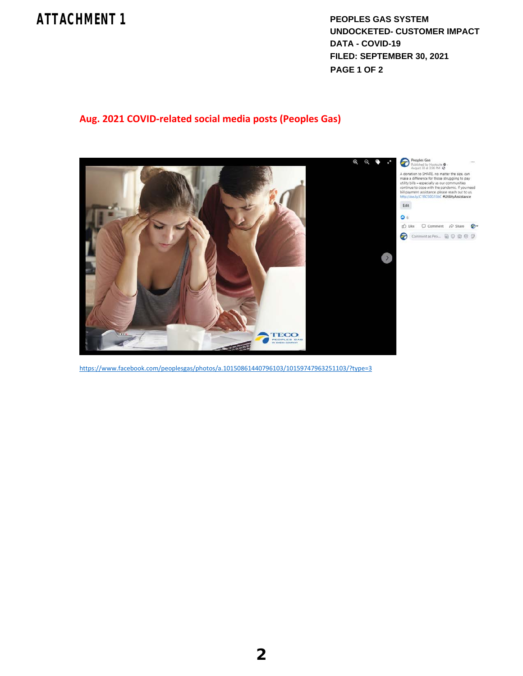## **ATTACHMENT 1**

**PEOPLES GAS SYSTEM UNDOCKETED- CUSTOMER IMPACT DATA - COVID-19 FILED: SEPTEMBER 30, 2021 PAGE 1 OF 2**

### **Aug. 2021 COVID‐related social media posts (Peoples Gas)**



https://www.facebook.com/peoplesgas/photos/a.10150861440796103/10159747963251103/?type=3